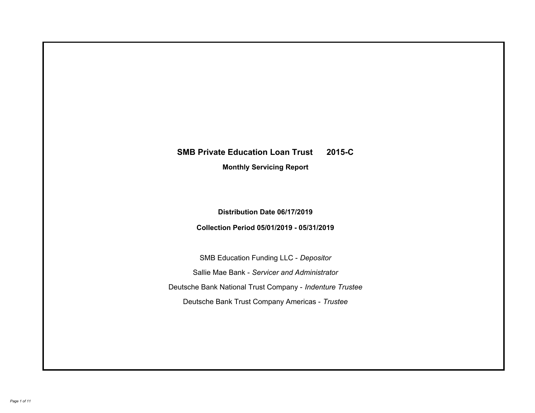# **SMB Private Education Loan Trust 2015-C Monthly Servicing Report**

## **Distribution Date 06/17/2019**

## **Collection Period 05/01/2019 - 05/31/2019**

SMB Education Funding LLC - *Depositor* Sallie Mae Bank - *Servicer and Administrator* Deutsche Bank National Trust Company - *Indenture Trustee* Deutsche Bank Trust Company Americas - *Trustee*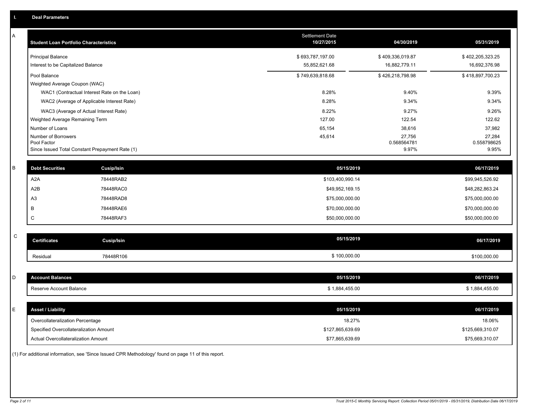| A         | <b>Student Loan Portfolio Characteristics</b>   |                                              | <b>Settlement Date</b><br>10/27/2015 | 04/30/2019           | 05/31/2019           |
|-----------|-------------------------------------------------|----------------------------------------------|--------------------------------------|----------------------|----------------------|
|           | <b>Principal Balance</b>                        |                                              | \$693,787,197.00                     | \$409,336,019.87     | \$402,205,323.25     |
|           | Interest to be Capitalized Balance              |                                              | 55,852,621.68                        | 16,882,779.11        | 16,692,376.98        |
|           | Pool Balance                                    |                                              | \$749,639,818.68                     | \$426,218,798.98     | \$418,897,700.23     |
|           | Weighted Average Coupon (WAC)                   |                                              |                                      |                      |                      |
|           |                                                 | WAC1 (Contractual Interest Rate on the Loan) | 8.28%                                | 9.40%                | 9.39%                |
|           |                                                 | WAC2 (Average of Applicable Interest Rate)   | 8.28%                                | 9.34%                | 9.34%                |
|           | WAC3 (Average of Actual Interest Rate)          |                                              | 8.22%                                | 9.27%                | 9.26%                |
|           | Weighted Average Remaining Term                 |                                              | 127.00                               | 122.54               | 122.62               |
|           | Number of Loans                                 |                                              | 65,154                               | 38,616               | 37,982               |
|           | Number of Borrowers<br>Pool Factor              |                                              | 45,614                               | 27,756               | 27,284               |
|           | Since Issued Total Constant Prepayment Rate (1) |                                              |                                      | 0.568564781<br>9.97% | 0.558798625<br>9.95% |
|           |                                                 |                                              |                                      |                      |                      |
| В         | <b>Debt Securities</b>                          | Cusip/Isin                                   | 05/15/2019                           |                      | 06/17/2019           |
|           | A <sub>2</sub> A                                | 78448RAB2                                    | \$103,400,990.14                     |                      | \$99,945,526.92      |
|           | A2B                                             | 78448RAC0                                    | \$49,952,169.15                      |                      | \$48,282,863.24      |
|           | A3                                              | 78448RAD8                                    | \$75,000,000.00                      |                      | \$75,000,000.00      |
|           | В                                               | 78448RAE6                                    | \$70,000,000.00                      |                      | \$70,000,000.00      |
|           | C                                               | 78448RAF3                                    | \$50,000,000.00                      |                      | \$50,000,000.00      |
|           |                                                 |                                              |                                      |                      |                      |
| ${\bf C}$ | <b>Certificates</b>                             | <b>Cusip/Isin</b>                            | 05/15/2019                           |                      | 06/17/2019           |
|           | Residual                                        | 78448R106                                    | \$100,000.00                         |                      | \$100,000.00         |
|           |                                                 |                                              |                                      |                      |                      |
| D         | <b>Account Balances</b>                         |                                              | 05/15/2019                           |                      | 06/17/2019           |
|           | Reserve Account Balance                         |                                              | \$1,884,455.00                       |                      | \$1,884,455.00       |
|           |                                                 |                                              |                                      |                      |                      |
| E         | <b>Asset / Liability</b>                        |                                              | 05/15/2019                           |                      | 06/17/2019           |
|           | Overcollateralization Percentage                |                                              | 18.27%                               |                      | 18.06%               |
|           | Specified Overcollateralization Amount          |                                              | \$127,865,639.69                     |                      | \$125,669,310.07     |
|           | Actual Overcollateralization Amount             |                                              | \$77,865,639.69                      |                      | \$75,669,310.07      |
|           |                                                 |                                              |                                      |                      |                      |

(1) For additional information, see 'Since Issued CPR Methodology' found on page 11 of this report.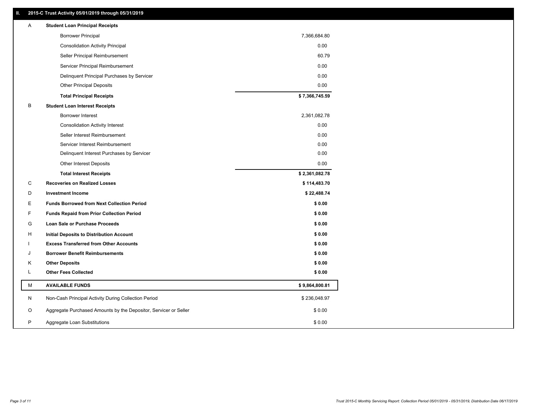#### **II. 2015-C Trust Activity 05/01/2019 through 05/31/2019**

| <b>Borrower Principal</b><br>7,366,684.80<br><b>Consolidation Activity Principal</b><br>0.00<br>60.79<br>Seller Principal Reimbursement<br>Servicer Principal Reimbursement<br>0.00 |  |
|-------------------------------------------------------------------------------------------------------------------------------------------------------------------------------------|--|
|                                                                                                                                                                                     |  |
|                                                                                                                                                                                     |  |
|                                                                                                                                                                                     |  |
|                                                                                                                                                                                     |  |
| 0.00<br>Delinquent Principal Purchases by Servicer                                                                                                                                  |  |
| 0.00<br><b>Other Principal Deposits</b>                                                                                                                                             |  |
| \$7,366,745.59<br><b>Total Principal Receipts</b>                                                                                                                                   |  |
| B<br><b>Student Loan Interest Receipts</b>                                                                                                                                          |  |
| <b>Borrower Interest</b><br>2,361,082.78                                                                                                                                            |  |
| 0.00<br><b>Consolidation Activity Interest</b>                                                                                                                                      |  |
| 0.00<br>Seller Interest Reimbursement                                                                                                                                               |  |
| Servicer Interest Reimbursement<br>0.00                                                                                                                                             |  |
| 0.00<br>Delinquent Interest Purchases by Servicer                                                                                                                                   |  |
| Other Interest Deposits<br>0.00                                                                                                                                                     |  |
| \$2,361,082.78<br><b>Total Interest Receipts</b>                                                                                                                                    |  |
| C<br><b>Recoveries on Realized Losses</b><br>\$114,483.70                                                                                                                           |  |
| D<br><b>Investment Income</b><br>\$22,488.74                                                                                                                                        |  |
| Ε<br><b>Funds Borrowed from Next Collection Period</b><br>\$0.00                                                                                                                    |  |
| F<br>\$0.00<br><b>Funds Repaid from Prior Collection Period</b>                                                                                                                     |  |
| G<br>\$0.00<br>Loan Sale or Purchase Proceeds                                                                                                                                       |  |
| \$0.00<br>н<br>Initial Deposits to Distribution Account                                                                                                                             |  |
| <b>Excess Transferred from Other Accounts</b><br>\$0.00                                                                                                                             |  |
| <b>Borrower Benefit Reimbursements</b><br>\$0.00<br>J                                                                                                                               |  |
| \$0.00<br>κ<br><b>Other Deposits</b>                                                                                                                                                |  |
| L<br><b>Other Fees Collected</b><br>\$0.00                                                                                                                                          |  |
| М<br><b>AVAILABLE FUNDS</b><br>\$9,864,800.81                                                                                                                                       |  |
| N<br>Non-Cash Principal Activity During Collection Period<br>\$236,048.97                                                                                                           |  |
| O<br>Aggregate Purchased Amounts by the Depositor, Servicer or Seller<br>\$0.00                                                                                                     |  |
| P<br>\$0.00<br>Aggregate Loan Substitutions                                                                                                                                         |  |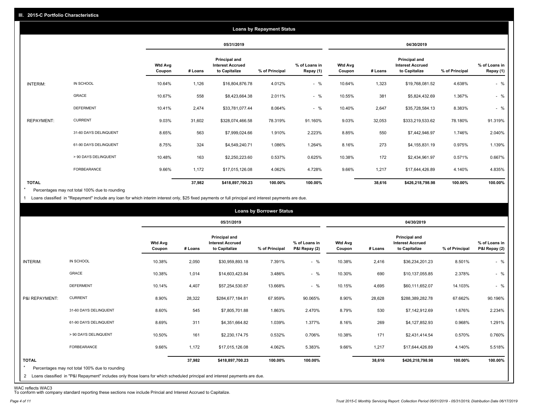|                   |                       |                          |         |                                                           | <b>Loans by Repayment Status</b> |                            |                          |         |                                                           |                |                            |
|-------------------|-----------------------|--------------------------|---------|-----------------------------------------------------------|----------------------------------|----------------------------|--------------------------|---------|-----------------------------------------------------------|----------------|----------------------------|
|                   |                       |                          |         | 05/31/2019                                                |                                  |                            |                          |         | 04/30/2019                                                |                |                            |
|                   |                       | <b>Wtd Avg</b><br>Coupon | # Loans | Principal and<br><b>Interest Accrued</b><br>to Capitalize | % of Principal                   | % of Loans in<br>Repay (1) | <b>Wtd Avg</b><br>Coupon | # Loans | Principal and<br><b>Interest Accrued</b><br>to Capitalize | % of Principal | % of Loans in<br>Repay (1) |
| INTERIM:          | IN SCHOOL             | 10.64%                   | 1,126   | \$16,804,876.78                                           | 4.012%                           | $-$ %                      | 10.64%                   | 1,323   | \$19,768,081.52                                           | 4.638%         | $-$ %                      |
|                   | GRACE                 | 10.67%                   | 558     | \$8,423,664.38                                            | 2.011%                           | $-$ %                      | 10.55%                   | 381     | \$5,824,432.69                                            | 1.367%         | $-$ %                      |
|                   | <b>DEFERMENT</b>      | 10.41%                   | 2,474   | \$33,781,077.44                                           | 8.064%                           | $-$ %                      | 10.40%                   | 2,647   | \$35,728,584.13                                           | 8.383%         | $-$ %                      |
| <b>REPAYMENT:</b> | <b>CURRENT</b>        | 9.03%                    | 31,602  | \$328,074,466.58                                          | 78.319%                          | 91.160%                    | 9.03%                    | 32,053  | \$333,219,533.62                                          | 78.180%        | 91.319%                    |
|                   | 31-60 DAYS DELINQUENT | 8.65%                    | 563     | \$7,999,024.66                                            | 1.910%                           | 2.223%                     | 8.85%                    | 550     | \$7,442,946.97                                            | 1.746%         | 2.040%                     |
|                   | 61-90 DAYS DELINQUENT | 8.75%                    | 324     | \$4,549,240.71                                            | 1.086%                           | 1.264%                     | 8.16%                    | 273     | \$4,155,831.19                                            | 0.975%         | 1.139%                     |
|                   | > 90 DAYS DELINQUENT  | 10.48%                   | 163     | \$2,250,223.60                                            | 0.537%                           | 0.625%                     | 10.38%                   | 172     | \$2,434,961.97                                            | 0.571%         | 0.667%                     |
|                   | FORBEARANCE           | 9.66%                    | 1,172   | \$17,015,126.08                                           | 4.062%                           | 4.728%                     | 9.66%                    | 1,217   | \$17,644,426.89                                           | 4.140%         | 4.835%                     |
| <b>TOTAL</b>      |                       |                          | 37,982  | \$418,897,700.23                                          | 100.00%                          | 100.00%                    |                          | 38,616  | \$426,218,798.98                                          | 100.00%        | 100.00%                    |

Percentages may not total 100% due to rounding  $\star$ 

1 Loans classified in "Repayment" include any loan for which interim interest only, \$25 fixed payments or full principal and interest payments are due.

|                         |                                                                                                                                                                                |                   |         |                                                           | <b>Loans by Borrower Status</b> |                                |                          |         |                                                                  |                |                                |
|-------------------------|--------------------------------------------------------------------------------------------------------------------------------------------------------------------------------|-------------------|---------|-----------------------------------------------------------|---------------------------------|--------------------------------|--------------------------|---------|------------------------------------------------------------------|----------------|--------------------------------|
|                         |                                                                                                                                                                                |                   |         | 05/31/2019                                                |                                 |                                |                          |         | 04/30/2019                                                       |                |                                |
|                         |                                                                                                                                                                                | Wtd Avg<br>Coupon | # Loans | Principal and<br><b>Interest Accrued</b><br>to Capitalize | % of Principal                  | % of Loans in<br>P&I Repay (2) | <b>Wtd Avg</b><br>Coupon | # Loans | <b>Principal and</b><br><b>Interest Accrued</b><br>to Capitalize | % of Principal | % of Loans in<br>P&I Repay (2) |
| INTERIM:                | IN SCHOOL                                                                                                                                                                      | 10.38%            | 2,050   | \$30,959,893.18                                           | 7.391%                          | $-$ %                          | 10.38%                   | 2,416   | \$36,234,201.23                                                  | 8.501%         | $-$ %                          |
|                         | GRACE                                                                                                                                                                          | 10.38%            | 1,014   | \$14,603,423.84                                           | 3.486%                          | $-$ %                          | 10.30%                   | 690     | \$10,137,055.85                                                  | 2.378%         | $-$ %                          |
|                         | <b>DEFERMENT</b>                                                                                                                                                               | 10.14%            | 4,407   | \$57,254,530.87                                           | 13.668%                         | $-$ %                          | 10.15%                   | 4,695   | \$60,111,652.07                                                  | 14.103%        | $-$ %                          |
| P&I REPAYMENT:          | <b>CURRENT</b>                                                                                                                                                                 | 8.90%             | 28,322  | \$284,677,184.81                                          | 67.959%                         | 90.065%                        | 8.90%                    | 28,628  | \$288,389,282.78                                                 | 67.662%        | 90.196%                        |
|                         | 31-60 DAYS DELINQUENT                                                                                                                                                          | 8.60%             | 545     | \$7,805,701.88                                            | 1.863%                          | 2.470%                         | 8.79%                    | 530     | \$7,142,912.69                                                   | 1.676%         | 2.234%                         |
|                         | 61-90 DAYS DELINQUENT                                                                                                                                                          | 8.69%             | 311     | \$4,351,664.82                                            | 1.039%                          | 1.377%                         | 8.16%                    | 269     | \$4,127,852.93                                                   | 0.968%         | 1.291%                         |
|                         | > 90 DAYS DELINQUENT                                                                                                                                                           | 10.50%            | 161     | \$2,230,174.75                                            | 0.532%                          | 0.706%                         | 10.38%                   | 171     | \$2,431,414.54                                                   | 0.570%         | 0.760%                         |
|                         | <b>FORBEARANCE</b>                                                                                                                                                             | 9.66%             | 1,172   | \$17,015,126.08                                           | 4.062%                          | 5.383%                         | 9.66%                    | 1,217   | \$17,644,426.89                                                  | 4.140%         | 5.518%                         |
| <b>TOTAL</b><br>$\star$ | Percentages may not total 100% due to rounding<br>2 Loans classified in "P&I Repayment" includes only those loans for which scheduled principal and interest payments are due. |                   | 37,982  | \$418,897,700.23                                          | 100.00%                         | 100.00%                        |                          | 38,616  | \$426,218,798.98                                                 | 100.00%        | 100.00%                        |

WAC reflects WAC3 To conform with company standard reporting these sections now include Princial and Interest Accrued to Capitalize.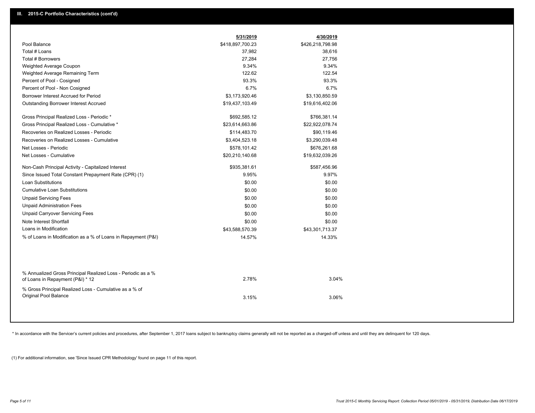|                                                                                                  | 5/31/2019        | 4/30/2019        |  |
|--------------------------------------------------------------------------------------------------|------------------|------------------|--|
| Pool Balance                                                                                     | \$418,897,700.23 | \$426,218,798.98 |  |
| Total # Loans                                                                                    | 37,982           | 38,616           |  |
| <b>Total # Borrowers</b>                                                                         | 27,284           | 27,756           |  |
| Weighted Average Coupon                                                                          | 9.34%            | 9.34%            |  |
| Weighted Average Remaining Term                                                                  | 122.62           | 122.54           |  |
| Percent of Pool - Cosigned                                                                       | 93.3%            | 93.3%            |  |
| Percent of Pool - Non Cosigned                                                                   | 6.7%             | 6.7%             |  |
| Borrower Interest Accrued for Period                                                             | \$3,173,920.46   | \$3,130,850.59   |  |
| <b>Outstanding Borrower Interest Accrued</b>                                                     | \$19,437,103.49  | \$19,616,402.06  |  |
| Gross Principal Realized Loss - Periodic *                                                       | \$692,585.12     | \$766,381.14     |  |
| Gross Principal Realized Loss - Cumulative *                                                     | \$23,614,663.86  | \$22,922,078.74  |  |
| Recoveries on Realized Losses - Periodic                                                         | \$114,483.70     | \$90,119.46      |  |
| Recoveries on Realized Losses - Cumulative                                                       | \$3,404,523.18   | \$3,290,039.48   |  |
| Net Losses - Periodic                                                                            | \$578,101.42     | \$676,261.68     |  |
| Net Losses - Cumulative                                                                          | \$20,210,140.68  | \$19,632,039.26  |  |
| Non-Cash Principal Activity - Capitalized Interest                                               | \$935,381.61     | \$587,456.96     |  |
| Since Issued Total Constant Prepayment Rate (CPR) (1)                                            | 9.95%            | 9.97%            |  |
| <b>Loan Substitutions</b>                                                                        | \$0.00           | \$0.00           |  |
| <b>Cumulative Loan Substitutions</b>                                                             | \$0.00           | \$0.00           |  |
| <b>Unpaid Servicing Fees</b>                                                                     | \$0.00           | \$0.00           |  |
| <b>Unpaid Administration Fees</b>                                                                | \$0.00           | \$0.00           |  |
| <b>Unpaid Carryover Servicing Fees</b>                                                           | \$0.00           | \$0.00           |  |
| Note Interest Shortfall                                                                          | \$0.00           | \$0.00           |  |
| Loans in Modification                                                                            | \$43,588,570.39  | \$43,301,713.37  |  |
| % of Loans in Modification as a % of Loans in Repayment (P&I)                                    | 14.57%           | 14.33%           |  |
|                                                                                                  |                  |                  |  |
| % Annualized Gross Principal Realized Loss - Periodic as a %<br>of Loans in Repayment (P&I) * 12 | 2.78%            | 3.04%            |  |
| % Gross Principal Realized Loss - Cumulative as a % of<br>Original Pool Balance                  | 3.15%            | 3.06%            |  |

\* In accordance with the Servicer's current policies and procedures, after September 1, 2017 loans subject to bankruptcy claims generally will not be reported as a charged-off unless and until they are delinquent for 120 d

(1) For additional information, see 'Since Issued CPR Methodology' found on page 11 of this report.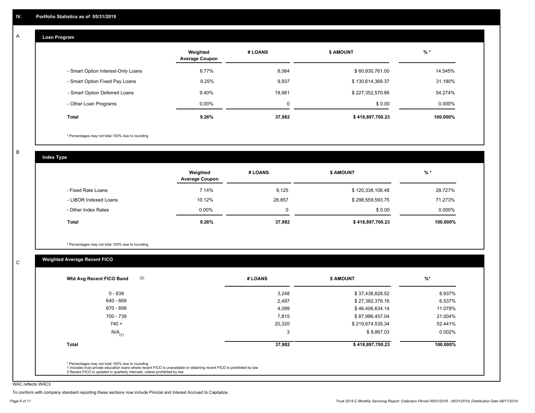#### **Loan Program**  A

|                                    | Weighted<br><b>Average Coupon</b> | # LOANS     | <b>\$ AMOUNT</b> | $%$ *    |
|------------------------------------|-----------------------------------|-------------|------------------|----------|
| - Smart Option Interest-Only Loans | 8.77%                             | 8,064       | \$60,930,761.00  | 14.545%  |
| - Smart Option Fixed Pay Loans     | 9.25%                             | 9,937       | \$130,614,368.37 | 31.180%  |
| - Smart Option Deferred Loans      | 9.40%                             | 19,981      | \$227,352,570.86 | 54.274%  |
| - Other Loan Programs              | $0.00\%$                          | $\mathbf 0$ | \$0.00           | 0.000%   |
| <b>Total</b>                       | 9.26%                             | 37,982      | \$418,897,700.23 | 100.000% |

\* Percentages may not total 100% due to rounding

B

C

**Index Type**

|                       | Weighted<br><b>Average Coupon</b> | # LOANS | <b>S AMOUNT</b>  | $%$ *    |
|-----------------------|-----------------------------------|---------|------------------|----------|
| - Fixed Rate Loans    | 7.14%                             | 9,125   | \$120,338,106.48 | 28.727%  |
| - LIBOR Indexed Loans | 10.12%                            | 28,857  | \$298,559,593.75 | 71.273%  |
| - Other Index Rates   | $0.00\%$                          |         | \$0.00           | 0.000%   |
| <b>Total</b>          | 9.26%                             | 37,982  | \$418,897,700.23 | 100.000% |

\* Percentages may not total 100% due to rounding

#### **Weighted Average Recent FICO**

| (2)<br>Wtd Avg Recent FICO Band | # LOANS | <b>\$ AMOUNT</b> | $%$ *    |
|---------------------------------|---------|------------------|----------|
| $0 - 639$                       | 3,248   | \$37,438,828.52  | 8.937%   |
| 640 - 669                       | 2,497   | \$27,382,378.16  | 6.537%   |
| 670 - 699                       | 4,099   | \$46,406,634.14  | 11.078%  |
| 700 - 739                       | 7,815   | \$87,986,457.04  | 21.004%  |
| $740 +$                         | 20,320  | \$219,674,535.34 | 52.441%  |
| $N/A$ <sub>(1)</sub>            | 3       | \$8,867.03       | 0.002%   |
| <b>Total</b>                    | 37,982  | \$418,897,700.23 | 100.000% |

WAC reflects WAC3

To conform with company standard reporting these sections now include Princial and Interest Accrued to Capitalize.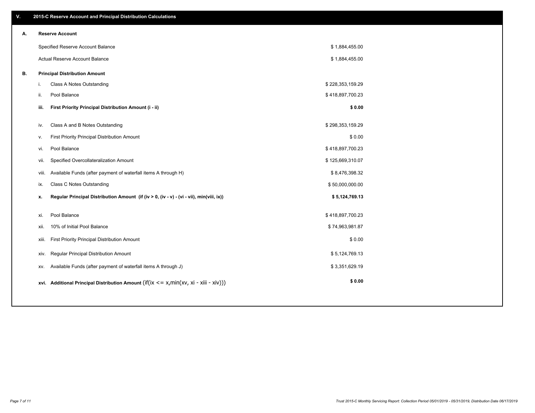| V. |     | 2015-C Reserve Account and Principal Distribution Calculations                                 |                  |  |
|----|-----|------------------------------------------------------------------------------------------------|------------------|--|
| А. |     | <b>Reserve Account</b>                                                                         |                  |  |
|    |     | Specified Reserve Account Balance                                                              | \$1,884,455.00   |  |
|    |     | Actual Reserve Account Balance                                                                 | \$1,884,455.00   |  |
| В. |     | <b>Principal Distribution Amount</b>                                                           |                  |  |
|    | i.  | Class A Notes Outstanding                                                                      | \$228,353,159.29 |  |
|    | ii. | Pool Balance                                                                                   | \$418,897,700.23 |  |
|    |     | First Priority Principal Distribution Amount (i - ii)<br>iii.                                  | \$0.00           |  |
|    |     | Class A and B Notes Outstanding<br>iv.                                                         | \$298,353,159.29 |  |
|    | v.  | First Priority Principal Distribution Amount                                                   | \$0.00           |  |
|    |     | Pool Balance<br>vi.                                                                            | \$418,897,700.23 |  |
|    |     |                                                                                                |                  |  |
|    |     | Specified Overcollateralization Amount<br>vii.                                                 | \$125,669,310.07 |  |
|    |     | Available Funds (after payment of waterfall items A through H)<br>viii.                        | \$8,476,398.32   |  |
|    |     | <b>Class C Notes Outstanding</b><br>ix.                                                        | \$50,000,000.00  |  |
|    |     | Regular Principal Distribution Amount (if (iv > 0, (iv - v) - (vi - vii), min(viii, ix))<br>х. | \$5,124,769.13   |  |
|    |     | Pool Balance<br>xi.                                                                            | \$418,897,700.23 |  |
|    |     | 10% of Initial Pool Balance<br>xii.                                                            | \$74,963,981.87  |  |
|    |     | First Priority Principal Distribution Amount<br>xiii.                                          | \$0.00           |  |
|    |     | Regular Principal Distribution Amount<br>XIV.                                                  | \$5,124,769.13   |  |
|    |     | Available Funds (after payment of waterfall items A through J)<br>XV.                          | \$3,351,629.19   |  |
|    |     | xvi. Additional Principal Distribution Amount (if(ix $\lt$ = x, min(xv, xi - xiii - xiv)))     | \$0.00           |  |
|    |     |                                                                                                |                  |  |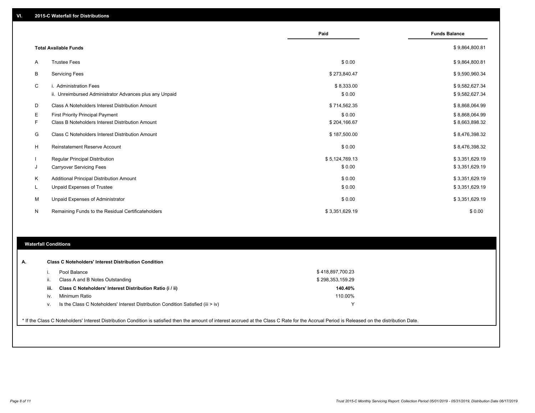|    |                                                                                   | Paid                 | <b>Funds Balance</b>             |
|----|-----------------------------------------------------------------------------------|----------------------|----------------------------------|
|    | <b>Total Available Funds</b>                                                      |                      | \$9,864,800.81                   |
| Α  | <b>Trustee Fees</b>                                                               | \$0.00               | \$9,864,800.81                   |
| В  | <b>Servicing Fees</b>                                                             | \$273,840.47         | \$9,590,960.34                   |
| C  | i. Administration Fees<br>ii. Unreimbursed Administrator Advances plus any Unpaid | \$8,333.00<br>\$0.00 | \$9,582,627.34<br>\$9,582,627.34 |
| D  | Class A Noteholders Interest Distribution Amount                                  | \$714,562.35         | \$8,868,064.99                   |
| Е  | <b>First Priority Principal Payment</b>                                           | \$0.00               | \$8,868,064.99                   |
| F. | Class B Noteholders Interest Distribution Amount                                  | \$204,166.67         | \$8,663,898.32                   |
| G  | Class C Noteholders Interest Distribution Amount                                  | \$187,500.00         | \$8,476,398.32                   |
| H  | Reinstatement Reserve Account                                                     | \$0.00               | \$8,476,398.32                   |
|    | Regular Principal Distribution                                                    | \$5,124,769.13       | \$3,351,629.19                   |
| J  | <b>Carryover Servicing Fees</b>                                                   | \$0.00               | \$3,351,629.19                   |
| Κ  | Additional Principal Distribution Amount                                          | \$0.00               | \$3,351,629.19                   |
| L  | <b>Unpaid Expenses of Trustee</b>                                                 | \$0.00               | \$3,351,629.19                   |
| м  | Unpaid Expenses of Administrator                                                  | \$0.00               | \$3,351,629.19                   |
| N  | Remaining Funds to the Residual Certificateholders                                | \$3,351,629.19       | \$0.00                           |
|    |                                                                                   |                      |                                  |

#### **Waterfall Conditions**

| А. |      | <b>Class C Noteholders' Interest Distribution Condition</b><br>Pool Balance                                                                                                                     | \$418,897,700.23 |  |
|----|------|-------------------------------------------------------------------------------------------------------------------------------------------------------------------------------------------------|------------------|--|
|    | Ш.   | Class A and B Notes Outstanding                                                                                                                                                                 | \$298,353,159.29 |  |
|    | iii. | Class C Noteholders' Interest Distribution Ratio (i / ii)                                                                                                                                       | 140.40%          |  |
|    | iv.  | Minimum Ratio                                                                                                                                                                                   | 110.00%          |  |
|    | V.   | Is the Class C Noteholders' Interest Distribution Condition Satisfied (iii > iv)                                                                                                                | ν                |  |
|    |      |                                                                                                                                                                                                 |                  |  |
|    |      | * If the Class C Noteholders' Interest Distribution Condition is satisfied then the amount of interest accrued at the Class C Rate for the Accrual Period is Released on the distribution Date. |                  |  |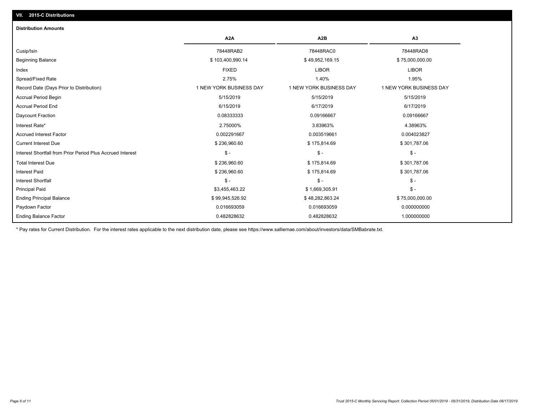#### **VII. 2015-C Distributions**

| <b>Distribution Amounts</b>                                |                         |                         |                         |
|------------------------------------------------------------|-------------------------|-------------------------|-------------------------|
|                                                            | A <sub>2</sub> A        | A <sub>2</sub> B        | A3                      |
| Cusip/Isin                                                 | 78448RAB2               | 78448RAC0               | 78448RAD8               |
| <b>Beginning Balance</b>                                   | \$103,400,990.14        | \$49,952,169.15         | \$75,000,000.00         |
| Index                                                      | <b>FIXED</b>            | <b>LIBOR</b>            | <b>LIBOR</b>            |
| Spread/Fixed Rate                                          | 2.75%                   | 1.40%                   | 1.95%                   |
| Record Date (Days Prior to Distribution)                   | 1 NEW YORK BUSINESS DAY | 1 NEW YORK BUSINESS DAY | 1 NEW YORK BUSINESS DAY |
| <b>Accrual Period Begin</b>                                | 5/15/2019               | 5/15/2019               | 5/15/2019               |
| <b>Accrual Period End</b>                                  | 6/15/2019               | 6/17/2019               | 6/17/2019               |
| Daycount Fraction                                          | 0.08333333              | 0.09166667              | 0.09166667              |
| Interest Rate*                                             | 2.75000%                | 3.83963%                | 4.38963%                |
| <b>Accrued Interest Factor</b>                             | 0.002291667             | 0.003519661             | 0.004023827             |
| <b>Current Interest Due</b>                                | \$236,960.60            | \$175,814.69            | \$301,787.06            |
| Interest Shortfall from Prior Period Plus Accrued Interest | $\mathsf{\$}$ -         | $\mathsf{\$}$ -         | $\mathsf{\$}$ -         |
| <b>Total Interest Due</b>                                  | \$236,960.60            | \$175,814.69            | \$301,787.06            |
| <b>Interest Paid</b>                                       | \$236,960.60            | \$175,814.69            | \$301,787.06            |
| <b>Interest Shortfall</b>                                  | $\frac{1}{2}$           | $\mathcal{S}$ -         | $\mathcal{S}$ -         |
| <b>Principal Paid</b>                                      | \$3,455,463.22          | \$1,669,305.91          | $\mathsf{\$}$ -         |
| <b>Ending Principal Balance</b>                            | \$99,945,526.92         | \$48,282,863.24         | \$75,000,000.00         |
| Paydown Factor                                             | 0.016693059             | 0.016693059             | 0.000000000             |
| <b>Ending Balance Factor</b>                               | 0.482828632             | 0.482828632             | 1.000000000             |

\* Pay rates for Current Distribution. For the interest rates applicable to the next distribution date, please see https://www.salliemae.com/about/investors/data/SMBabrate.txt.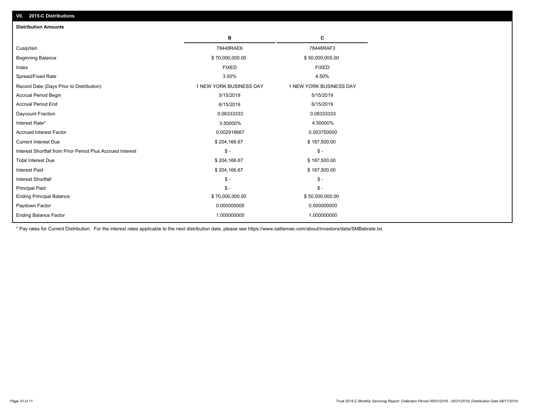| <b>Distribution Amounts</b>                                |                         |                         |
|------------------------------------------------------------|-------------------------|-------------------------|
|                                                            | в                       | C                       |
| Cusip/Isin                                                 | 78448RAE6               | 78448RAF3               |
| <b>Beginning Balance</b>                                   | \$70,000,000.00         | \$50,000,000.00         |
| Index                                                      | <b>FIXED</b>            | <b>FIXED</b>            |
| Spread/Fixed Rate                                          | 3.50%                   | 4.50%                   |
| Record Date (Days Prior to Distribution)                   | 1 NEW YORK BUSINESS DAY | 1 NEW YORK BUSINESS DAY |
| <b>Accrual Period Begin</b>                                | 5/15/2019               | 5/15/2019               |
| <b>Accrual Period End</b>                                  | 6/15/2019               | 6/15/2019               |
| Daycount Fraction                                          | 0.08333333              | 0.08333333              |
| Interest Rate*                                             | 3.50000%                | 4.50000%                |
| <b>Accrued Interest Factor</b>                             | 0.002916667             | 0.003750000             |
| <b>Current Interest Due</b>                                | \$204,166.67            | \$187,500.00            |
| Interest Shortfall from Prior Period Plus Accrued Interest | $\mathsf{\$}$ -         | $\mathsf{\$}$ -         |
| <b>Total Interest Due</b>                                  | \$204,166.67            | \$187,500.00            |
| <b>Interest Paid</b>                                       | \$204,166.67            | \$187,500.00            |
| <b>Interest Shortfall</b>                                  | $\mathsf{\$}$ -         | $\mathsf{\$}$ -         |
| <b>Principal Paid</b>                                      | $\mathsf{\$}$ -         | $$ -$                   |
| <b>Ending Principal Balance</b>                            | \$70,000,000.00         | \$50,000,000.00         |
| Paydown Factor                                             | 0.000000000             | 0.000000000             |
| <b>Ending Balance Factor</b>                               | 1.000000000             | 1.000000000             |

\* Pay rates for Current Distribution. For the interest rates applicable to the next distribution date, please see https://www.salliemae.com/about/investors/data/SMBabrate.txt.

**VII. 2015-C Distributions**